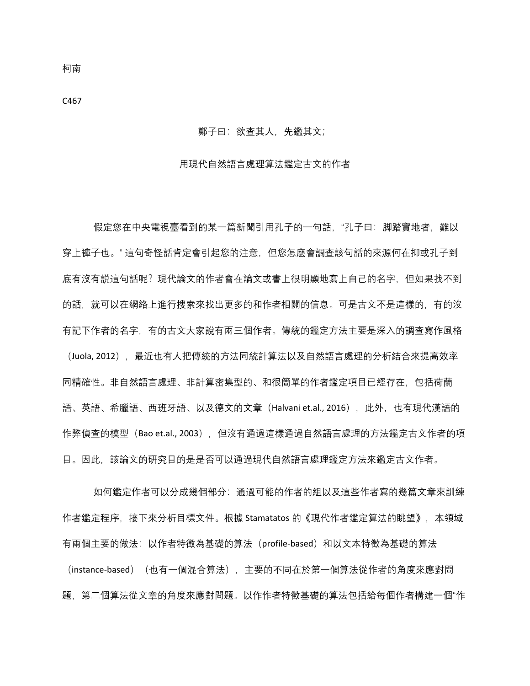## 鄭子曰:欲查其人,先鑑其文;

## 用現代自然語言處理算法鑑定古文的作者

假定您在中央電視臺看到的某一篇新聞引用孔子的一句話,"孔子曰: 脚踏實地者, 難以 穿上褲子也。" 這句奇怪話肯定會引起您的注意,但您怎麽會調查該句話的來源何在抑或孔子到 底有沒有説這句話呢?現代論文的作者會在論文或書上很明顯地寫上自己的名字,但如果找不到 的話,就可以在網絡上進行搜索來找出更多的和作者相關的信息。可是古文不是這樣的,有的沒 有記下作者的名字,有的古文大家說有兩三個作者。傳統的鑑定方法主要是深入的調查寫作風格 (Juola, 2012), 最近也有人把傳統的方法同統計算法以及自然語言處理的分析結合來提高效率 同精確性。非自然語言處理、非計算密集型的、和很簡單的作者鑑定項目已經存在,包括荷蘭 語、英語、希臘語、西班牙語、以及德文的文章(Halvani et.al., 2016),此外,也有現代漢語的 作弊偵查的模型 (Bao et.al., 2003), 但沒有通過這樣通過自然語言處理的方法鑑定古文作者的項 目。因此,該論文的研究目的是是否可以通過現代自然語言處理鑑定方法來鑑定古文作者。

如何鑑定作者可以分成幾個部分:通過可能的作者的組以及這些作者寫的幾篇文章來訓練 作者鑑定程序,接下來分析目標文件。根據 Stamatatos 的《現代作者鑑定算法的眺望》,本領域 有兩個主要的做法:以作者特徵為基礎的算法(profile-based)和以文本特徵為基礎的算法 (instance-based) (也有一個混合算法), 主要的不同在於第一個算法從作者的角度來應對問 題,第二個算法從文章的角度來應對問題。以作作者特徵基礎的算法包括給每個作者構建一個"作

柯南

C467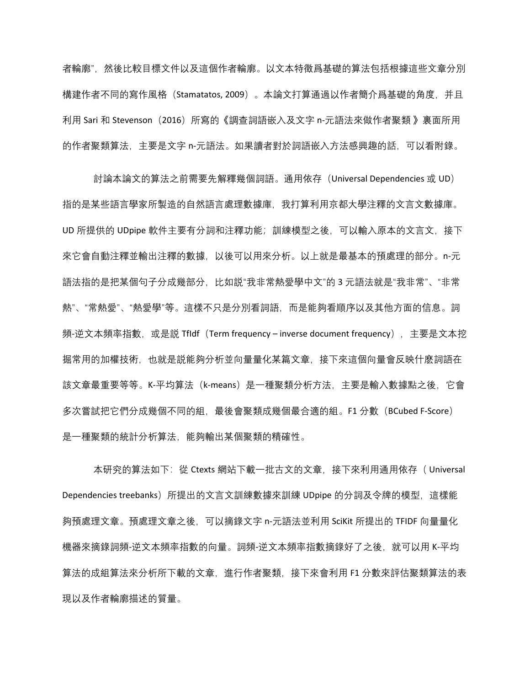者輪廓",然後比較目標文件以及這個作者輪廓。以文本特徵爲基礎的算法包括根據這些文章分別 構建作者不同的寫作風格(Stamatatos, 2009)。本論文打算通過以作者簡介爲基礎的角度,并且 利用 Sari 和 Stevenson(2016)所寫的《調查詞語嵌入及文字 n-元語法來做作者聚類 》裏面所用 的作者聚類算法,主要是文字 n-元語法。如果讀者對於詞語嵌入方法感興趣的話,可以看附錄。

討論本論文的算法之前需要先解釋幾個詞語。通用依存(Universal Dependencies 或 UD) 指的是某些語言學家所製造的自然語言處理數據庫,我打算利用京都大學注釋的文言文數據庫。 UD 所提供的 UDpipe 軟件主要有分詞和注釋功能;訓練模型之後,可以輸入原本的文言文,接下 來它會自動注釋並輸出注釋的數據,以後可以用來分析。以上就是最基本的預處理的部分。n-元 語法指的是把某個句子分成幾部分,比如説"我非常熱愛學中文"的 3 元語法就是"我非常"、"非常 熱"、"常熱愛"、"熱愛學"等。這樣不只是分別看詞語,而是能夠看順序以及其他方面的信息。詞 頻-逆文本頻率指數, 或是説 Tfldf (Term frequency – inverse document frequency), 主要是文本挖 掘常用的加權技術,也就是説能夠分析並向量量化某篇文章,接下來這個向量會反映什麽詞語在 該文章最重要等等。K-平均算法(k-means)是一種聚類分析方法,主要是輸入數據點之後,它會 多次嘗試把它們分成幾個不同的組,最後會聚類成幾個最合適的組。F1 分數(BCubed F-Score) 是一種聚類的統計分析算法,能夠輸出某個聚類的精確性。

本研究的算法如下: 從 Ctexts 網站下載一批古文的文章, 接下來利用通用依存 ( Universal Dependencies treebanks)所提出的文言文訓練數據來訓練 UDpipe 的分詞及令牌的模型,這樣能 夠預處理文章。預處理文章之後,可以摘錄文字 n-元語法並利用 SciKit 所提出的 TFIDF 向量量化 機器來摘錄詞頻-逆文本頻率指數的向量。詞頻-逆文本頻率指數摘錄好了之後,就可以用 K-平均 算法的成組算法來分析所下載的文章, 谁行作者聚類, 接下來會利用 F1 分數來評估聚類算法的表 現以及作者輪廓描述的質量。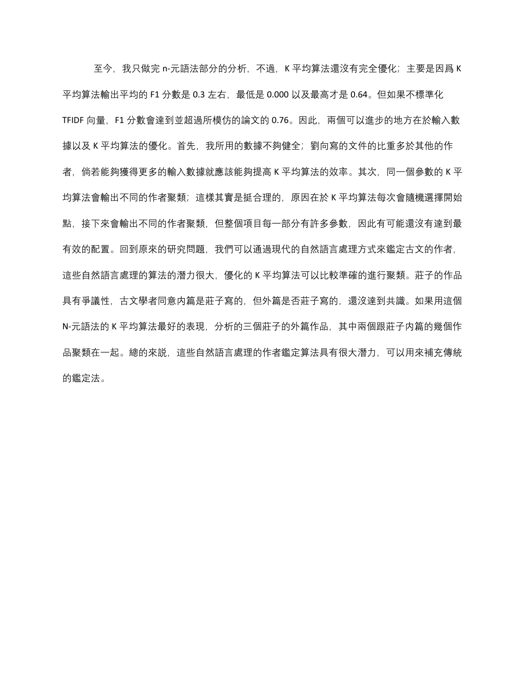至今,我只做完 n-元語法部分的分析,不過,K 平均算法還沒有完全優化;主要是因爲 K 平均算法輸出平均的 F1 分數是 0.3 左右, 最低是 0.000 以及最高才是 0.64。但如果不標準化 TFIDF 向量,F1 分數會達到並超過所模仿的論文的 0.76。因此,兩個可以進步的地方在於輸入數 據以及 K 平均算法的優化。首先, 我所用的數據不夠健全; 劉向寫的文件的比重多於其他的作 者, 倘若能夠獲得更多的輸入數據就應該能夠提高 K 平均算法的效率。其次, 同一個參數的 K 平 均算法會輸出不同的作者聚類; 這樣其實是挺合理的, 原因在於 K 平均算法每次會隨機選擇開始 點,接下來會輸出不同的作者聚類,但整個項目每一部分有許多參數,因此有可能還沒有達到最 有效的配置。回到原來的研究問題,我們可以通過現代的自然語言處理方式來鑑定古文的作者, 這些自然語言處理的算法的潛力很大,優化的 K 平均算法可以比較準確的進行聚類。莊子的作品 具有爭議性,古文學者同意内篇是莊子寫的,但外篇是否莊子寫的,還沒達到共識。如果用這個 N-元語法的 K 平均算法最好的表現,分析的三個莊子的外篇作品,其中兩個跟莊子内篇的幾個作 品聚類在一起。總的來説,這些自然語言處理的作者鑑定算法具有很大潛力,可以用來補充傳統 的鑑定法。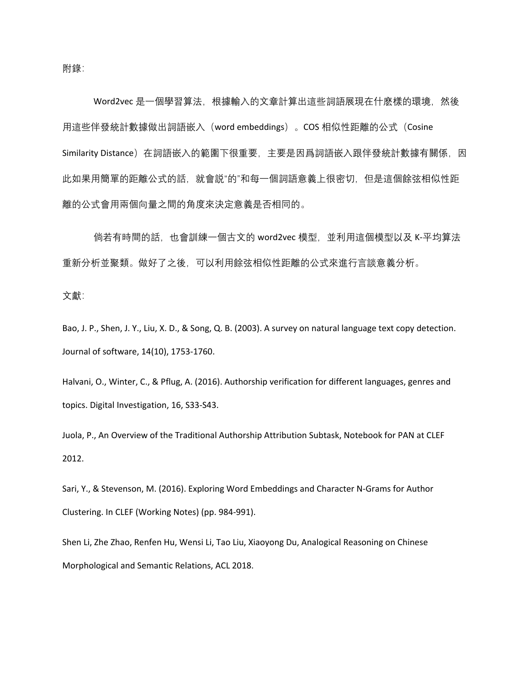附錄:

Word2vec 是一個學習算法, 根據輸入的文章計算出這些詞語展現在什麽樣的環境, 然後 用這些伴發統計數據做出詞語嵌入(word embeddings)。COS 相似性距離的公式(Cosine Similarity Distance)在詞語嵌入的範圍下很重要,主要是因爲詞語嵌入跟伴發統計數據有關係,因 此如果用簡單的距離公式的話,就會説"的"和每一個詞語意義上很密切,但是這個餘弦相似性距 離的公式會用兩個向量之間的角度來決定意義是否相同的。

倘若有時間的話,也會訓練一個古文的 word2vec 模型,並利用這個模型以及 K-平均算法 重新分析並聚類。做好了之後,可以利用餘弦相似性距離的公式來進行言談意義分析。

文獻:

Bao, J. P., Shen, J. Y., Liu, X. D., & Song, Q. B. (2003). A survey on natural language text copy detection. Journal of software, 14(10), 1753-1760.

Halvani, O., Winter, C., & Pflug, A. (2016). Authorship verification for different languages, genres and topics. Digital Investigation, 16, S33-S43.

Juola, P., An Overview of the Traditional Authorship Attribution Subtask, Notebook for PAN at CLEF 2012.

Sari, Y., & Stevenson, M. (2016). Exploring Word Embeddings and Character N-Grams for Author Clustering. In CLEF (Working Notes) (pp. 984-991).

Shen Li, Zhe Zhao, Renfen Hu, Wensi Li, Tao Liu, Xiaoyong Du, Analogical Reasoning on Chinese Morphological and Semantic Relations, ACL 2018.